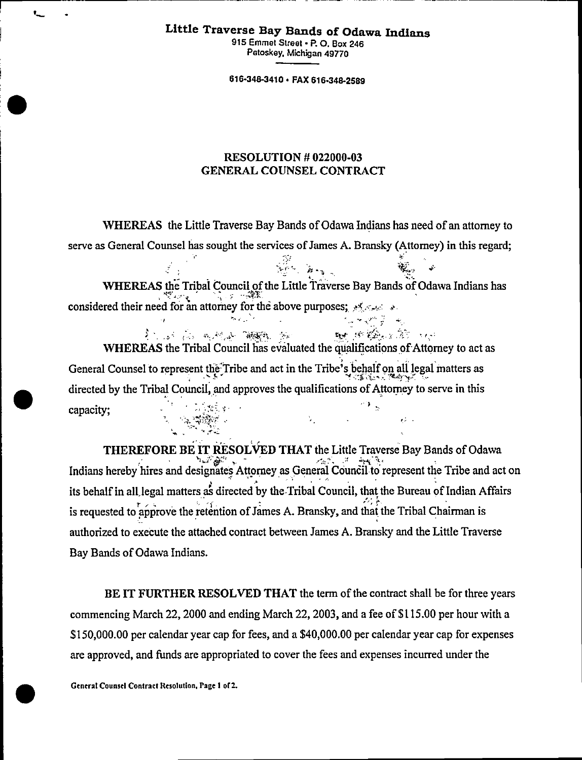## **Little Traverse Bay Bands of Odawa Indians**

**915 Emmet Street • P. 0. Box 246 Petoskey, Michigan 49770** 

**616-348-3410 • FAX 616-348-2589** 

## **RESOLUTION** *#* **022000-03 GENERAL COUNSEL CONTRACT**

**WHEREAS the Little Traverse Bay Bands of Odawa Indians has need of an attorney to serve as General Counsel has sought the services of James A. Bransky (Attorney) in this regard;** 

 $\mathbf{v}$ 

**WHEREAS the Tribal Council of the Little Traverse Bay Bands of Odawa Indians has '7,• 4, 4T-• considered their need for an attorney for the above purposes;**  $\frac{1}{2}$  **such as** 

**, . •: • •• A-4A\*,** *tve , ";;: . ,*  **BE STRANGED STAT WHEREAS the Tribal Council has evaluated the qualifications of Attorney to act as General Counsel to represent the Tribe and act in the Tribe's behalf on all legal matters as <b>Senarch And Tribe directed by the Tribal Council, and approves the qualifications of Attorney to serve in this capacity;**   $\mathcal{O} \rightarrow$  $\cdot$  :  $\cdot$  . The  $\cdot$ 

**THEREFORE BE IT RESOLVED THAT the Little Traverse Bay Bands of Odawa Indians herebyhires and designates Attorney as General Couneil to represent the Tribe and act on its behalf in all,legal matters as directed by the Tribal Council, that the Bureau of Indian Affairs**  is requested to approve the retention of James A. Bransky, and that the Tribal Chairman is **authorized to execute the attached contract between James A. Bransky and the Little Traverse Bay Bands of Odawa Indians.** 

**BE IT FURTHER RESOLVED THAT the term of the contract shall be for three years commencing March 22, 2000 and ending March 22, 2003, and a fee of \$115.00 per hour with a \$150,000.00 per calendar year cap for fees, and a \$40,000.00 per calendar year cap for expenses are approved, and funds are appropriated to cover the fees and expenses incurred under the** 

 $\rightarrow$